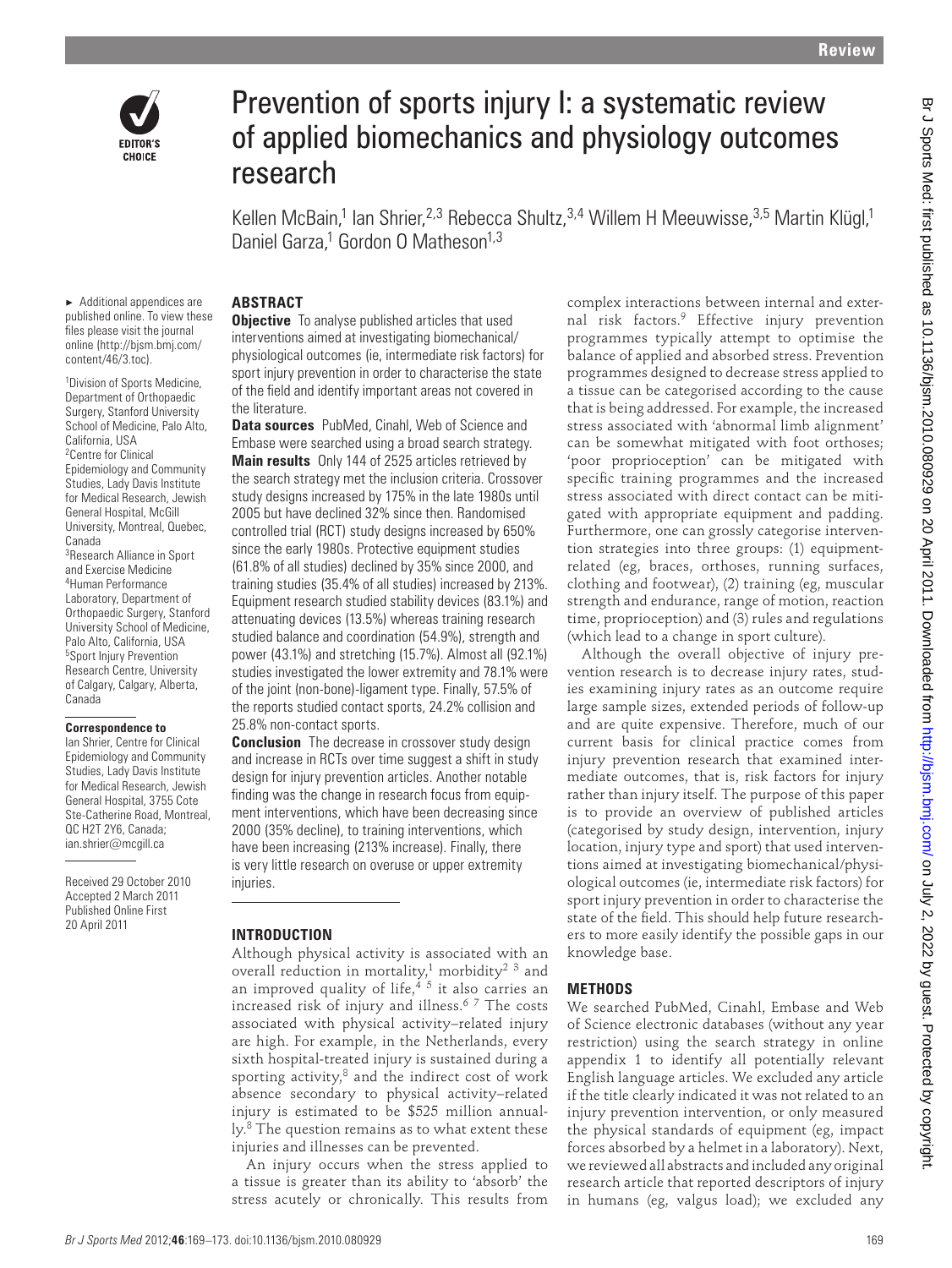



# Prevention of sports injury I: a systematic review of applied biomechanics and physiology outcomes research

Kellen McBain,<sup>1</sup> Ian Shrier,<sup>2,3</sup> Rebecca Shultz,<sup>3,4</sup> Willem H Meeuwisse,<sup>3,5</sup> Martin Klügl,<sup>1</sup> Daniel Garza,<sup>1</sup> Gordon O Matheson<sup>1,3</sup>

# **ABSTRACT**

▶ Additional appendices are published online. To view these files please visit the journal online (http://bjsm.bmj.com/ content/46/3.toc).

1 Division of Sports Medicine, Department of Orthopaedic Surgery, Stanford University School of Medicine, Palo Alto, California, USA <sup>2</sup> Centre for Clinical Epidemiology and Community Studies, Lady Davis Institute for Medical Research, Jewish General Hospital, McGill University, Montreal, Quebec, Canada 3 Research Alliance in Sport and Exercise Medicine 4 Human Performance Laboratory, Department of Orthopaedic Surgery, Stanford University School of Medicine, Palo Alto, California, USA 5 Sport Injury Prevention Research Centre, University of Calgary, Calgary, Alberta, Canada

#### **Correspondence to**

 Ian Shrier, Centre for Clinical Epidemiology and Community Studies, Lady Davis Institute for Medical Research, Jewish General Hospital, 3755 Cote Ste-Catherine Road, Montreal, QC H2T 2Y6, Canada; ian.shrier@mcgill.ca

Received 29 October 2010 Accepted 2 March 2011 Published Online First 20 April 2011

### **Objective** To analyse published articles that used interventions aimed at investigating biomechanical/ physiological outcomes (ie, intermediate risk factors) for sport injury prevention in order to characterise the state of the field and identify important areas not covered in the literature.

 **Data sources** PubMed, Cinahl, Web of Science and Embase were searched using a broad search strategy.  **Main results** Only 144 of 2525 articles retrieved by the search strategy met the inclusion criteria. Crossover study designs increased by 175% in the late 1980s until 2005 but have declined 32% since then. Randomised controlled trial (RCT) study designs increased by 650% since the early 1980s. Protective equipment studies (61.8% of all studies) declined by 35% since 2000, and training studies (35.4% of all studies) increased by 213%. Equipment research studied stability devices (83.1%) and attenuating devices (13.5%) whereas training research studied balance and coordination (54.9%), strength and power (43.1%) and stretching (15.7%). Almost all (92.1%) studies investigated the lower extremity and 78.1% were of the joint (non-bone)-ligament type. Finally, 57.5% of the reports studied contact sports, 24.2% collision and 25.8% non-contact sports.

 **Conclusion** The decrease in crossover study design and increase in RCTs over time suggest a shift in study design for injury prevention articles. Another notable finding was the change in research focus from equipment interventions, which have been decreasing since 2000 (35% decline), to training interventions, which have been increasing (213% increase). Finally, there is very little research on overuse or upper extremity injuries.

### **INTRODUCTION**

Although physical activity is associated with an overall reduction in mortality,<sup>1</sup> morbidity<sup>2</sup> <sup>3</sup> and an improved quality of life,  $4^5$  it also carries an increased risk of injury and illness. 6 7 The costs associated with physical activity–related injury are high. For example, in the Netherlands, every sixth hospital-treated injury is sustained during a sporting activity, $8$  and the indirect cost of work absence secondary to physical activity–related injury is estimated to be \$525 million annual- $\rm 1y<sup>8</sup>$  The question remains as to what extent these injuries and illnesses can be prevented.

An injury occurs when the stress applied to a tissue is greater than its ability to 'absorb' the stress acutely or chronically. This results from

complex interactions between internal and external risk factors.<sup>9</sup> Effective injury prevention programmes typically attempt to optimise the balance of applied and absorbed stress. Prevention programmes designed to decrease stress applied to a tissue can be categorised according to the cause that is being addressed. For example, the increased stress associated with 'abnormal limb alignment' can be somewhat mitigated with foot orthoses; 'poor proprioception' can be mitigated with specific training programmes and the increased stress associated with direct contact can be mitigated with appropriate equipment and padding. Furthermore, one can grossly categorise intervention strategies into three groups: (1) equipmentrelated (eg, braces, orthoses, running surfaces, clothing and footwear), (2) training (eg, muscular strength and endurance, range of motion, reaction time, proprioception) and (3) rules and regulations (which lead to a change in sport culture). **Properties of the control of the control of the control of the control of the control of the control of the control of the control of the control of the control of the control of the control of the control of the control** 

Although the overall objective of injury prevention research is to decrease injury rates, studies examining injury rates as an outcome require large sample sizes, extended periods of follow-up and are quite expensive. Therefore, much of our current basis for clinical practice comes from injury prevention research that examined intermediate outcomes, that is, risk factors for injury rather than injury itself. The purpose of this paper is to provide an overview of published articles (categorised by study design, intervention, injury location, injury type and sport) that used interventions aimed at investigating biomechanical/physiological outcomes (ie, intermediate risk factors) for sport injury prevention in order to characterise the state of the field. This should help future researchers to more easily identify the possible gaps in our knowledge base.

### **METHODS**

We searched PubMed, Cinahl, Embase and Web of Science electronic databases (without any year restriction) using the search strategy in online appendix 1 to identify all potentially relevant English language articles. We excluded any article if the title clearly indicated it was not related to an injury prevention intervention, or only measured the physical standards of equipment (eg, impact forces absorbed by a helmet in a laboratory). Next, we reviewed all abstracts and included any original research article that reported descriptors of injury in humans (eg, valgus load); we excluded any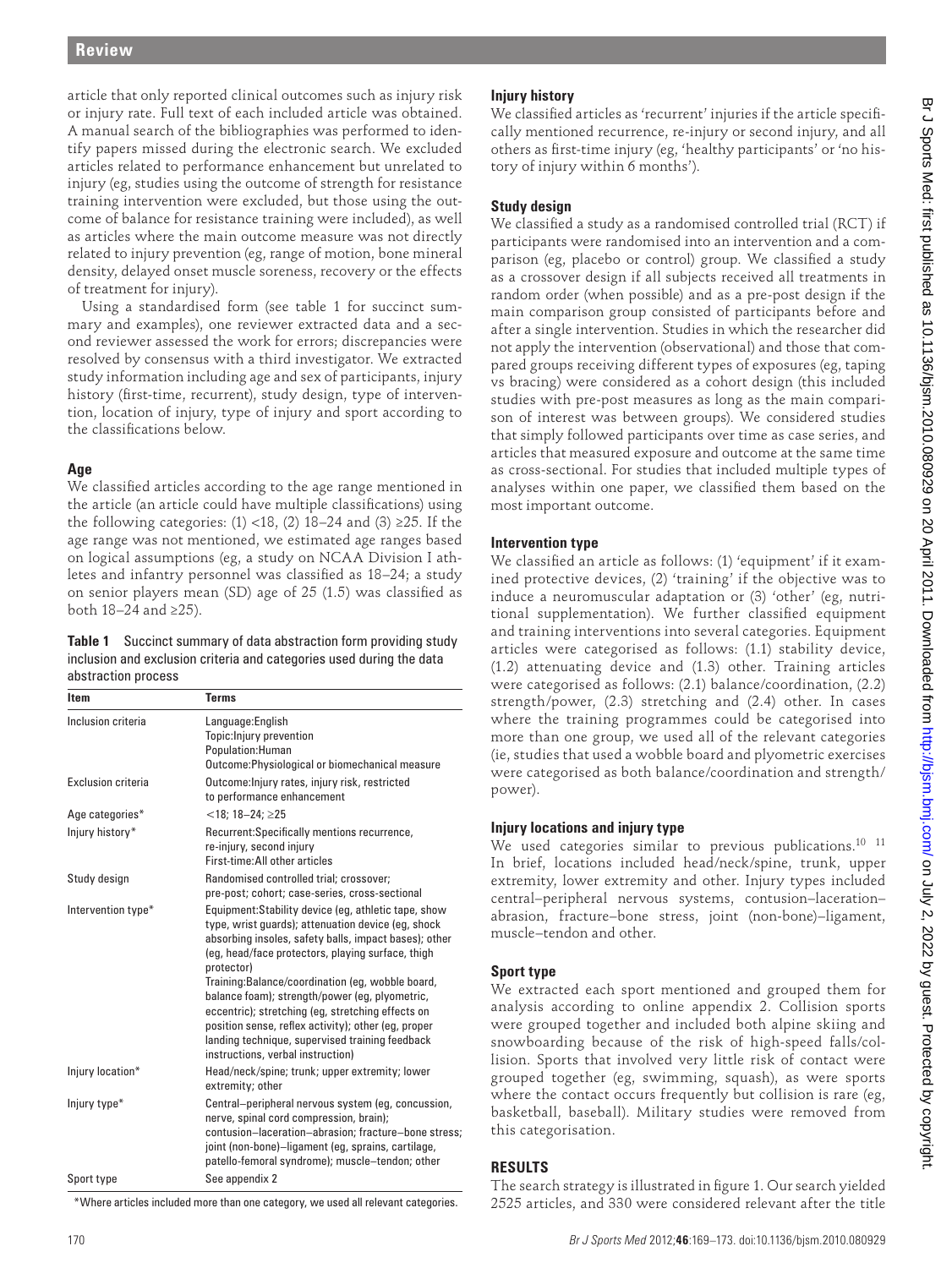article that only reported clinical outcomes such as injury risk or injury rate. Full text of each included article was obtained. A manual search of the bibliographies was performed to identify papers missed during the electronic search. We excluded articles related to performance enhancement but unrelated to injury (eg, studies using the outcome of strength for resistance training intervention were excluded, but those using the outcome of balance for resistance training were included), as well as articles where the main outcome measure was not directly related to injury prevention (eg, range of motion, bone mineral density, delayed onset muscle soreness, recovery or the effects of treatment for injury).

# **Age**

#### **Table 1** Succinct summary of data abstraction form providing study inclusion and exclusion criteria and categories used during the data abstraction process

|                                                                                                                                                                                                                                                                                                                                                                                                                                                                                                                                                                                                                                                                                                                                                                                                              | *Where articles included more than one category, we used all relevant categories.                                                                                                                                                                                                                                    | 2525 articles, and 330 were considered relevant after the title                                                                                                                                                                                                                                                                                                                                                                                                                                                                                                                                                                                                                                                                                                                                                                                                                                                                                                                                                 |  |                                                                                                                                                                                                   |                                                          |
|--------------------------------------------------------------------------------------------------------------------------------------------------------------------------------------------------------------------------------------------------------------------------------------------------------------------------------------------------------------------------------------------------------------------------------------------------------------------------------------------------------------------------------------------------------------------------------------------------------------------------------------------------------------------------------------------------------------------------------------------------------------------------------------------------------------|----------------------------------------------------------------------------------------------------------------------------------------------------------------------------------------------------------------------------------------------------------------------------------------------------------------------|-----------------------------------------------------------------------------------------------------------------------------------------------------------------------------------------------------------------------------------------------------------------------------------------------------------------------------------------------------------------------------------------------------------------------------------------------------------------------------------------------------------------------------------------------------------------------------------------------------------------------------------------------------------------------------------------------------------------------------------------------------------------------------------------------------------------------------------------------------------------------------------------------------------------------------------------------------------------------------------------------------------------|--|---------------------------------------------------------------------------------------------------------------------------------------------------------------------------------------------------|----------------------------------------------------------|
| Sport type                                                                                                                                                                                                                                                                                                                                                                                                                                                                                                                                                                                                                                                                                                                                                                                                   | See appendix 2                                                                                                                                                                                                                                                                                                       | The search strategy is illustrated in figure 1. Our search yielded                                                                                                                                                                                                                                                                                                                                                                                                                                                                                                                                                                                                                                                                                                                                                                                                                                                                                                                                              |  |                                                                                                                                                                                                   |                                                          |
| Injury type*                                                                                                                                                                                                                                                                                                                                                                                                                                                                                                                                                                                                                                                                                                                                                                                                 | Central-peripheral nervous system (eg, concussion,<br>nerve, spinal cord compression, brain);<br>contusion-laceration-abrasion; fracture-bone stress;<br>joint (non-bone)–ligament (eg, sprains, cartilage,<br>patello-femoral syndrome); muscle-tendon; other                                                       | basketball, baseball). Military studies were removed from<br>this categorisation.<br><b>RESULTS</b>                                                                                                                                                                                                                                                                                                                                                                                                                                                                                                                                                                                                                                                                                                                                                                                                                                                                                                             |  |                                                                                                                                                                                                   |                                                          |
| Injury location*                                                                                                                                                                                                                                                                                                                                                                                                                                                                                                                                                                                                                                                                                                                                                                                             | Head/neck/spine; trunk; upper extremity; lower<br>extremity; other                                                                                                                                                                                                                                                   | grouped together (eg, swimming, squash), as were sports<br>where the contact occurs frequently but collision is rare (eg,                                                                                                                                                                                                                                                                                                                                                                                                                                                                                                                                                                                                                                                                                                                                                                                                                                                                                       |  |                                                                                                                                                                                                   |                                                          |
|                                                                                                                                                                                                                                                                                                                                                                                                                                                                                                                                                                                                                                                                                                                                                                                                              | protector)<br>Training:Balance/coordination (eg, wobble board,<br>balance foam); strength/power (eg, plyometric,<br>eccentric); stretching (eg, stretching effects on<br>position sense, reflex activity); other (eg, proper<br>landing technique, supervised training feedback<br>instructions, verbal instruction) | <b>Sport type</b><br>We extracted each sport mentioned and grouped them for<br>analysis according to online appendix 2. Collision sports<br>were grouped together and included both alpine skiing and<br>snowboarding because of the risk of high-speed falls/col-<br>lision. Sports that involved very little risk of contact were                                                                                                                                                                                                                                                                                                                                                                                                                                                                                                                                                                                                                                                                             |  |                                                                                                                                                                                                   |                                                          |
| Intervention type*                                                                                                                                                                                                                                                                                                                                                                                                                                                                                                                                                                                                                                                                                                                                                                                           | Equipment: Stability device (eg, athletic tape, show<br>type, wrist guards); attenuation device (eg, shock<br>absorbing insoles, safety balls, impact bases); other<br>(eg, head/face protectors, playing surface, thigh                                                                                             | central-peripheral nervous systems, contusion-laceration-<br>abrasion, fracture-bone stress, joint (non-bone)-ligament,<br>muscle-tendon and other.                                                                                                                                                                                                                                                                                                                                                                                                                                                                                                                                                                                                                                                                                                                                                                                                                                                             |  |                                                                                                                                                                                                   |                                                          |
| Study design                                                                                                                                                                                                                                                                                                                                                                                                                                                                                                                                                                                                                                                                                                                                                                                                 | First-time: All other articles<br>Randomised controlled trial; crossover;<br>pre-post; cohort; case-series, cross-sectional                                                                                                                                                                                          | In brief, locations included head/neck/spine, trunk, upper<br>extremity, lower extremity and other. Injury types included                                                                                                                                                                                                                                                                                                                                                                                                                                                                                                                                                                                                                                                                                                                                                                                                                                                                                       |  |                                                                                                                                                                                                   |                                                          |
| Age categories*<br>Injury history*                                                                                                                                                                                                                                                                                                                                                                                                                                                                                                                                                                                                                                                                                                                                                                           | $<$ 18; 18-24; $\geq$ 25<br>Recurrent:Specifically mentions recurrence,<br>re-injury, second injury                                                                                                                                                                                                                  | Injury locations and injury type<br>We used categories similar to previous publications. <sup>10</sup> <sup>11</sup>                                                                                                                                                                                                                                                                                                                                                                                                                                                                                                                                                                                                                                                                                                                                                                                                                                                                                            |  |                                                                                                                                                                                                   |                                                          |
| Exclusion criteria                                                                                                                                                                                                                                                                                                                                                                                                                                                                                                                                                                                                                                                                                                                                                                                           | Population: Human<br>Outcome: Physiological or biomechanical measure<br>Outcome: Injury rates, injury risk, restricted<br>to performance enhancement                                                                                                                                                                 | (ie, studies that used a wobble board and plyometric exercises<br>were categorised as both balance/coordination and strength/<br>power).                                                                                                                                                                                                                                                                                                                                                                                                                                                                                                                                                                                                                                                                                                                                                                                                                                                                        |  |                                                                                                                                                                                                   |                                                          |
| Inclusion criteria                                                                                                                                                                                                                                                                                                                                                                                                                                                                                                                                                                                                                                                                                                                                                                                           | Language: English<br>Topic: Injury prevention                                                                                                                                                                                                                                                                        | where the training programmes could be categorised into<br>more than one group, we used all of the relevant categories                                                                                                                                                                                                                                                                                                                                                                                                                                                                                                                                                                                                                                                                                                                                                                                                                                                                                          |  |                                                                                                                                                                                                   |                                                          |
| We classified articles according to the age range mentioned in<br>the article (an article could have multiple classifications) using<br>the following categories: $(1)$ <18, $(2)$ 18-24 and $(3)$ ≥25. If the<br>age range was not mentioned, we estimated age ranges based<br>on logical assumptions (eg, a study on NCAA Division I ath-<br>letes and infantry personnel was classified as 18-24; a study<br>on senior players mean (SD) age of 25 (1.5) was classified as<br>both $18-24$ and ≥25).<br>Table 1 Succinct summary of data abstraction form providing study<br>inclusion and exclusion criteria and categories used during the data<br>abstraction process<br>Item<br><b>Terms</b>                                                                                                          |                                                                                                                                                                                                                                                                                                                      | analyses within one paper, we classified them based on the<br>most important outcome.<br><b>Intervention type</b><br>We classified an article as follows: (1) 'equipment' if it exam-<br>ined protective devices, (2) 'training' if the objective was to<br>induce a neuromuscular adaptation or (3) 'other' (eg, nutri-<br>tional supplementation). We further classified equipment<br>and training interventions into several categories. Equipment<br>articles were categorised as follows: (1.1) stability device,<br>(1.2) attenuating device and (1.3) other. Training articles<br>were categorised as follows: (2.1) balance/coordination, (2.2)<br>strength/power, (2.3) stretching and (2.4) other. In cases                                                                                                                                                                                                                                                                                           |  |                                                                                                                                                                                                   |                                                          |
| come of balance for resistance training were included), as well<br>as articles where the main outcome measure was not directly<br>related to injury prevention (eg, range of motion, bone mineral<br>density, delayed onset muscle soreness, recovery or the effects<br>of treatment for injury).<br>Using a standardised form (see table 1 for succinct sum-<br>mary and examples), one reviewer extracted data and a sec-<br>ond reviewer assessed the work for errors; discrepancies were<br>resolved by consensus with a third investigator. We extracted<br>study information including age and sex of participants, injury<br>history (first-time, recurrent), study design, type of interven-<br>tion, location of injury, type of injury and sport according to<br>the classifications below.<br>Age |                                                                                                                                                                                                                                                                                                                      | We classified a study as a randomised controlled trial (RCT) if<br>participants were randomised into an intervention and a com-<br>parison (eg, placebo or control) group. We classified a study<br>as a crossover design if all subjects received all treatments in<br>random order (when possible) and as a pre-post design if the<br>main comparison group consisted of participants before and<br>after a single intervention. Studies in which the researcher did<br>not apply the intervention (observational) and those that com-<br>pared groups receiving different types of exposures (eg, taping<br>vs bracing) were considered as a cohort design (this included<br>studies with pre-post measures as long as the main compari-<br>son of interest was between groups). We considered studies<br>that simply followed participants over time as case series, and<br>articles that measured exposure and outcome at the same time<br>as cross-sectional. For studies that included multiple types of |  |                                                                                                                                                                                                   |                                                          |
|                                                                                                                                                                                                                                                                                                                                                                                                                                                                                                                                                                                                                                                                                                                                                                                                              |                                                                                                                                                                                                                                                                                                                      |                                                                                                                                                                                                                                                                                                                                                                                                                                                                                                                                                                                                                                                                                                                                                                                                                                                                                                                                                                                                                 |  | articles related to performance enhancement but unrelated to<br>injury (eg, studies using the outcome of strength for resistance<br>training intervention were excluded, but those using the out- | tory of injury within 6 months').<br><b>Study design</b> |

# **Injury history**

# **Study design**

# **Intervention type**

# **Injury locations and injury type**

# **Sport type**

# **RESULTS**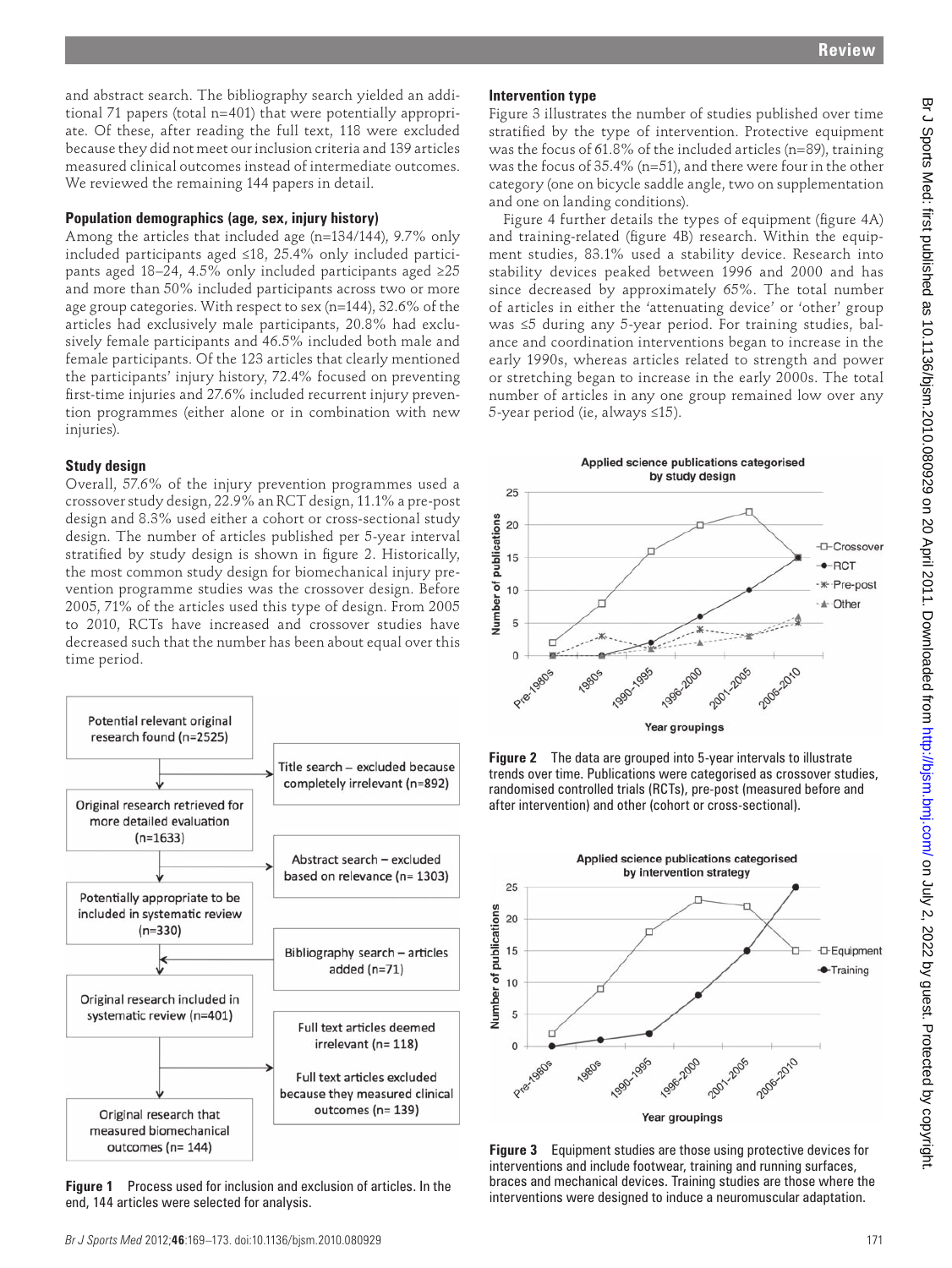and abstract search. The bibliography search yielded an additional 71 papers (total n=401) that were potentially appropriate. Of these, after reading the full text, 118 were excluded because they did not meet our inclusion criteria and 139 articles measured clinical outcomes instead of intermediate outcomes. We reviewed the remaining 144 papers in detail.

### **Population demographics (age, sex, injury history)**

Among the articles that included age (n=134/144), 9.7% only included participants aged ≤18, 25.4% only included participants aged 18–24, 4.5% only included participants aged ≥25 and more than 50% included participants across two or more age group categories. With respect to sex (n=144), 32.6% of the articles had exclusively male participants, 20.8% had exclusively female participants and 46.5% included both male and female participants. Of the 123 articles that clearly mentioned the participants' injury history, 72.4% focused on preventing first-time injuries and 27.6% included recurrent injury prevention programmes (either alone or in combination with new injuries).

# **Study design**

Overall, 57.6% of the injury prevention programmes used a crossover study design, 22.9% an RCT design, 11.1% a pre-post design and 8.3% used either a cohort or cross-sectional study design. The number of articles published per 5-year interval stratified by study design is shown in figure 2. Historically, the most common study design for biomechanical injury prevention programme studies was the crossover design. Before 2005, 71% of the articles used this type of design. From 2005 to 2010, RCTs have increased and crossover studies have decreased such that the number has been about equal over this time period.



 **Figure 1** Process used for inclusion and exclusion of articles. In the end, 144 articles were selected for analysis.

# **Intervention type**

Figure 3illustrates the number of studies published over time stratified by the type of intervention. Protective equipment was the focus of 61.8% of the included articles (n=89), training was the focus of 35.4% (n=51), and there were four in the other category (one on bicycle saddle angle, two on supplementation and one on landing conditions).

Figure 4 further details the types of equipment (figure 4A) and training-related (figure 4B) research. Within the equipment studies, 83.1% used a stability device. Research into stability devices peaked between 1996 and 2000 and has since decreased by approximately 65%. The total number of articles in either the 'attenuating device' or 'other' group was ≤5 during any 5-year period. For training studies, balance and coordination interventions began to increase in the early 1990s, whereas articles related to strength and power or stretching began to increase in the early 2000s. The total number of articles in any one group remained low over any 5-year period (ie, always ≤15).



 **Figure 2** The data are grouped into 5-year intervals to illustrate trends over time. Publications were categorised as crossover studies, randomised controlled trials (RCTs), pre-post (measured before and after intervention) and other (cohort or cross-sectional).



 **Figure 3** Equipment studies are those using protective devices for interventions and include footwear, training and running surfaces, braces and mechanical devices. Training studies are those where the interventions were designed to induce a neuromuscular adaptation.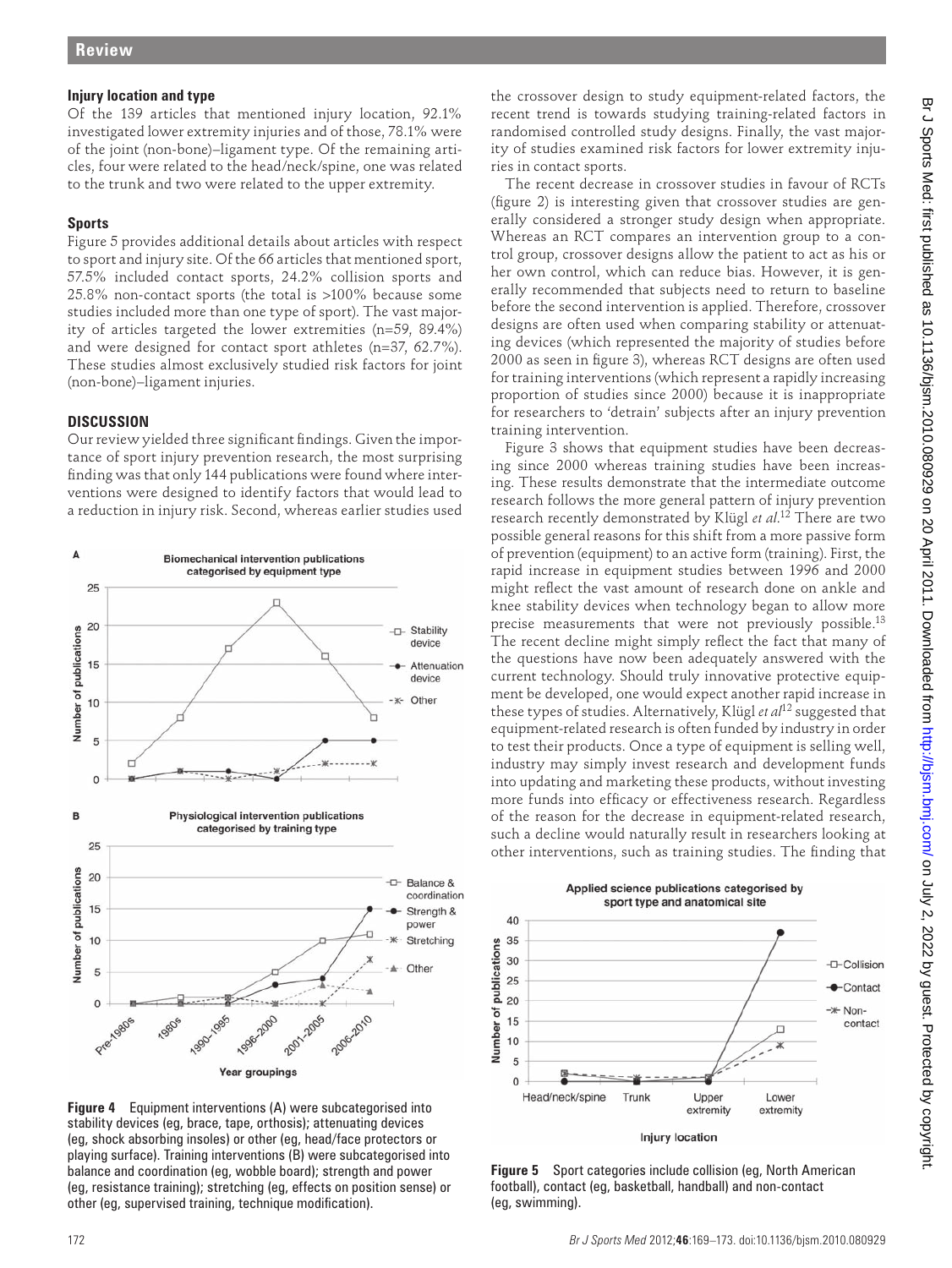### **Injury location and type**

Of the 139 articles that mentioned injury location, 92.1% investigated lower extremity injuries and of those, 78.1% were of the joint (non-bone)–ligament type. Of the remaining articles, four were related to the head/neck/spine, one was related to the trunk and two were related to the upper extremity.

# **Sports**

Figure 5 provides additional details about articles with respect to sport and injury site. Of the 66 articles that mentioned sport, 57.5% included contact sports, 24.2% collision sports and 25.8% non-contact sports (the total is >100% because some studies included more than one type of sport). The vast majority of articles targeted the lower extremities (n=59, 89.4%) and were designed for contact sport athletes (n=37, 62.7%). These studies almost exclusively studied risk factors for joint (non-bone)–ligament injuries.

### **DISCUSSION**

Our review yielded three significant findings. Given the importance of sport injury prevention research, the most surprising finding was that only 144 publications were found where interventions were designed to identify factors that would lead to a reduction in injury risk. Second, whereas earlier studies used



 **Figure 4** Equipment interventions (A) were subcategorised into stability devices (eg, brace, tape, orthosis); attenuating devices (eg, shock absorbing insoles) or other (eg, head/face protectors or playing surface). Training interventions (B) were subcategorised into balance and coordination (eg, wobble board); strength and power (eg, resistance training); stretching (eg, effects on position sense) or other (eg, supervised training, technique modification).

the crossover design to study equipment-related factors, the recent trend is towards studying training-related factors in randomised controlled study designs. Finally, the vast majority of studies examined risk factors for lower extremity injuries in contact sports.

The recent decrease in crossover studies in favour of RCTs (figure 2) is interesting given that crossover studies are generally considered a stronger study design when appropriate. Whereas an RCT compares an intervention group to a control group, crossover designs allow the patient to act as his or her own control, which can reduce bias. However, it is generally recommended that subjects need to return to baseline before the second intervention is applied. Therefore, crossover designs are often used when comparing stability or attenuating devices (which represented the majority of studies before 2000 as seen in figure 3), whereas RCT designs are often used for training interventions (which represent a rapidly increasing proportion of studies since 2000) because it is inappropriate for researchers to 'detrain' subjects after an injury prevention training intervention.

Figure 3 shows that equipment studies have been decreasing since 2000 whereas training studies have been increasing. These results demonstrate that the intermediate outcome research follows the more general pattern of injury prevention research recently demonstrated by Klügl *et al*. 12 There are two possible general reasons for this shift from a more passive form of prevention (equipment) to an active form (training). First, the rapid increase in equipment studies between 1996 and 2000 might reflect the vast amount of research done on ankle and knee stability devices when technology began to allow more precise measurements that were not previously possible.<sup>13</sup> The recent decline might simply reflect the fact that many of the questions have now been adequately answered with the current technology. Should truly innovative protective equipment be developed, one would expect another rapid increase in these types of studies. Alternatively, Klügl *et al*12 suggested that equipment-related research is often funded by industry in order to test their products. Once a type of equipment is selling well, industry may simply invest research and development funds into updating and marketing these products, without investing more funds into efficacy or effectiveness research. Regardless of the reason for the decrease in equipment-related research, such a decline would naturally result in researchers looking at other interventions, such as training studies. The finding that



 **Figure 5** Sport categories include collision (eg, North American football), contact (eg, basketball, handball) and non-contact (eg, swimming).